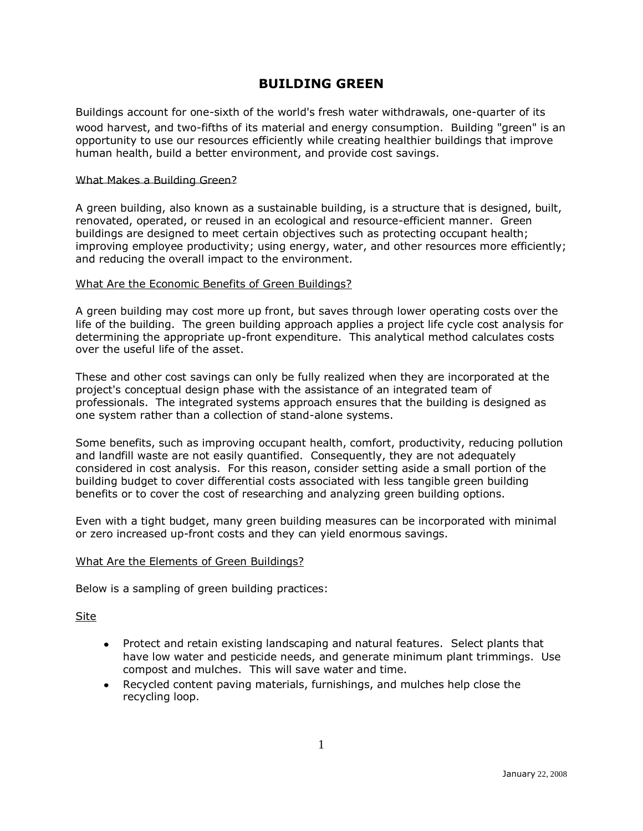# **BUILDING GREEN**

Buildings account for one-sixth of the world's fresh water withdrawals, one-quarter of its wood harvest, and two-fifths of its material and energy consumption. Building "green" is an opportunity to use our resources efficiently while creating healthier buildings that improve human health, build a better environment, and provide cost savings.

### What Makes a Building Green?

A green building, also known as a sustainable building, is a structure that is designed, built, renovated, operated, or reused in an ecological and resource-efficient manner. Green buildings are designed to meet certain objectives such as protecting occupant health; improving employee productivity; using energy, water, and other resources more efficiently; and reducing the overall impact to the environment.

## What Are the Economic Benefits of Green Buildings?

A green building may cost more up front, but saves through lower operating costs over the life of the building. The green building approach applies a project life cycle cost analysis for determining the appropriate up-front expenditure. This analytical method calculates costs over the useful life of the asset.

These and other cost savings can only be fully realized when they are incorporated at the project's conceptual design phase with the assistance of an integrated team of professionals. The integrated systems approach ensures that the building is designed as one system rather than a collection of stand-alone systems.

Some benefits, such as improving occupant health, comfort, productivity, reducing pollution and landfill waste are not easily quantified. Consequently, they are not adequately considered in cost analysis. For this reason, consider setting aside a small portion of the building budget to cover differential costs associated with less tangible green building benefits or to cover the cost of researching and analyzing green building options.

Even with a tight budget, many green building measures can be incorporated with minimal or zero increased up-front costs and they can yield enormous savings.

#### What Are the Elements of Green Buildings?

Below is a sampling of green building practices:

Site

- Protect and retain existing landscaping and natural features. Select plants that have low water and pesticide needs, and generate minimum plant trimmings. Use compost and mulches. This will save water and time.
- Recycled content paving materials, furnishings, and mulches help close the  $\bullet$ recycling loop.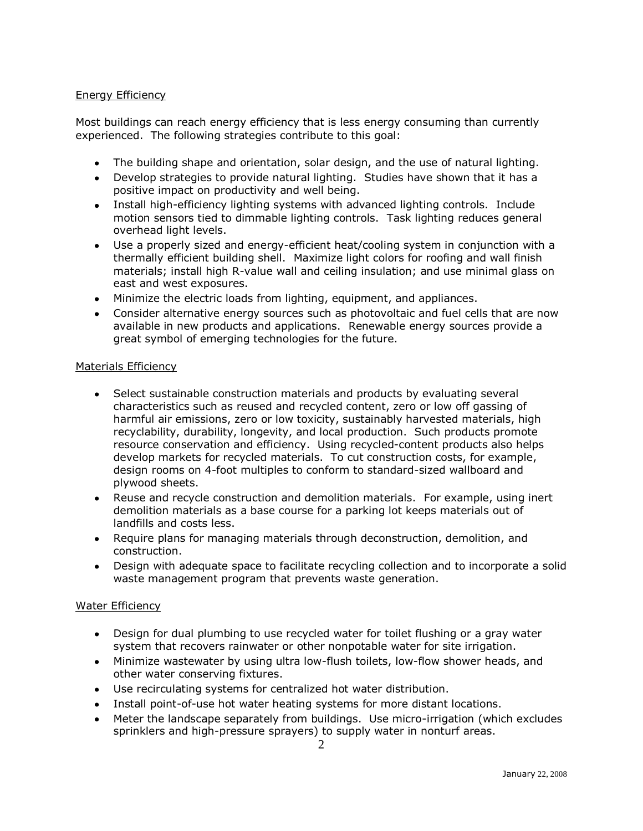# Energy Efficiency

Most buildings can reach energy efficiency that is less energy consuming than currently experienced. The following strategies contribute to this goal:

- The building shape and orientation, solar design, and the use of natural lighting.
- Develop strategies to provide natural lighting. Studies have shown that it has a positive impact on productivity and well being.
- Install high-efficiency lighting systems with advanced lighting controls. Include motion sensors tied to dimmable lighting controls. Task lighting reduces general overhead light levels.
- Use a properly sized and energy-efficient heat/cooling system in conjunction with a thermally efficient building shell. Maximize light colors for roofing and wall finish materials; install high R-value wall and ceiling insulation; and use minimal glass on east and west exposures.
- Minimize the electric loads from lighting, equipment, and appliances.
- Consider alternative energy sources such as photovoltaic and fuel cells that are now available in new products and applications. Renewable energy sources provide a great symbol of emerging technologies for the future.

## Materials Efficiency

- Select sustainable construction materials and products by evaluating several characteristics such as reused and recycled content, zero or low off gassing of harmful air emissions, zero or low toxicity, sustainably harvested materials, high recyclability, durability, longevity, and local production. Such products promote resource conservation and efficiency. Using recycled-content products also helps develop markets for recycled materials. To cut construction costs, for example, design rooms on 4-foot multiples to conform to standard-sized wallboard and plywood sheets.
- Reuse and recycle construction and demolition materials. For example, using inert demolition materials as a base course for a parking lot keeps materials out of landfills and costs less.
- Require plans for managing materials through deconstruction, demolition, and construction.
- Design with adequate space to facilitate recycling collection and to incorporate a solid  $\bullet$ waste management program that prevents waste generation.

# Water Efficiency

- Design for dual plumbing to use recycled water for toilet flushing or a gray water system that recovers rainwater or other nonpotable water for site irrigation.
- Minimize wastewater by using ultra low-flush toilets, low-flow shower heads, and other water conserving fixtures.
- Use recirculating systems for centralized hot water distribution.
- Install point-of-use hot water heating systems for more distant locations.
- Meter the landscape separately from buildings. Use micro-irrigation (which excludes  $\bullet$ sprinklers and high-pressure sprayers) to supply water in nonturf areas.